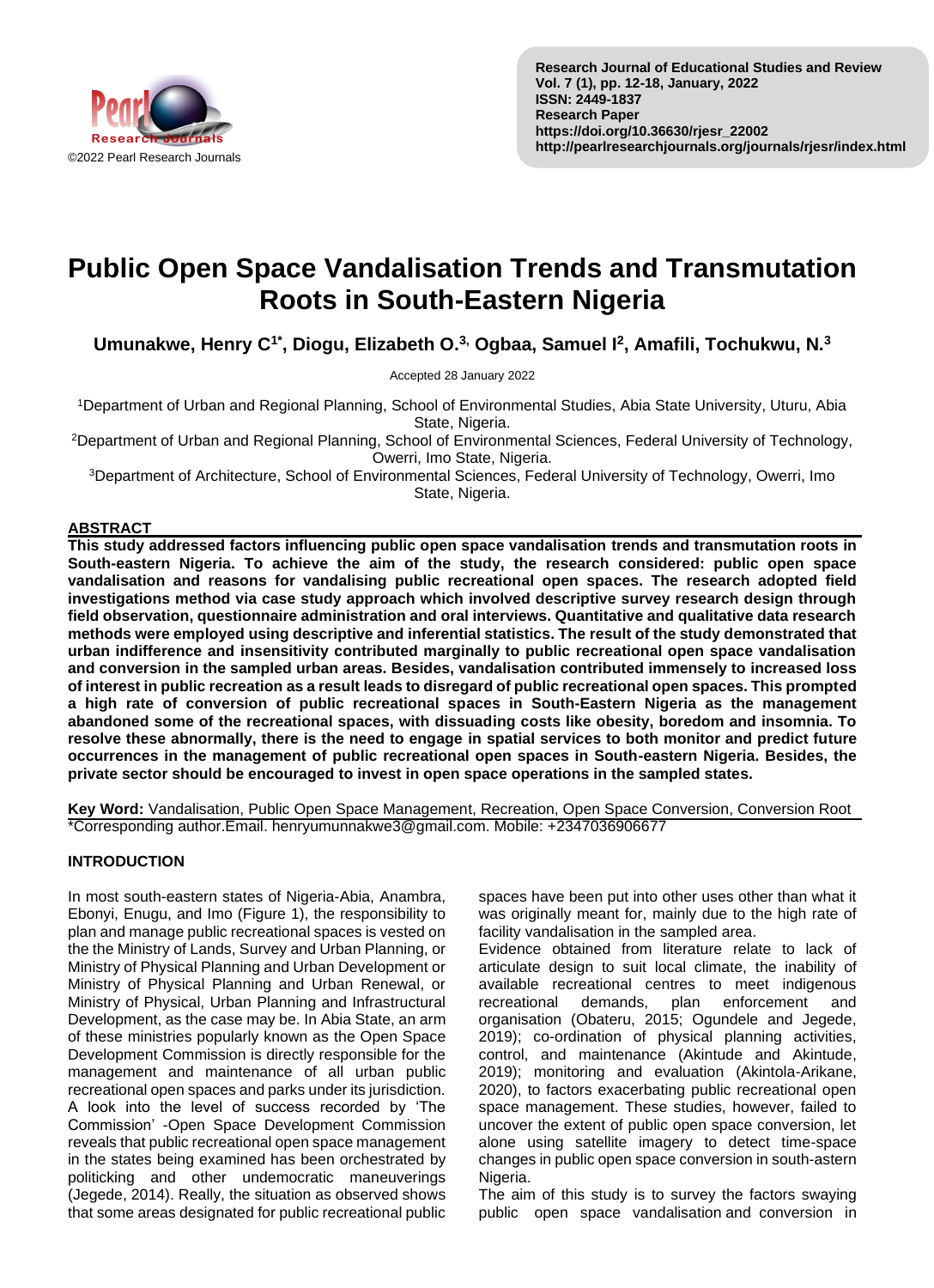

# **Public Open Space Vandalisation Trends and Transmutation Roots in South-Eastern Nigeria**

**Umunakwe, Henry C1\*, Diogu, Elizabeth O.3, Ogbaa, Samuel I<sup>2</sup> , Amafili, Tochukwu, N.<sup>3</sup>**

Accepted 28 January 2022

<sup>1</sup>Department of Urban and Regional Planning, School of Environmental Studies, Abia State University, Uturu, Abia State, Nigeria.

<sup>2</sup>Department of Urban and Regional Planning, School of Environmental Sciences, Federal University of Technology, Owerri, Imo State, Nigeria.

<sup>3</sup>Department of Architecture, School of Environmental Sciences, Federal University of Technology, Owerri, Imo State, Nigeria.

## **ABSTRACT**

**This study addressed factors influencing public open space vandalisation trends and transmutation roots in South-eastern Nigeria. To achieve the aim of the study, the research considered: public open space vandalisation and reasons for vandalising public recreational open spaces. The research adopted field investigations method via case study approach which involved descriptive survey research design through field observation, questionnaire administration and oral interviews. Quantitative and qualitative data research methods were employed using descriptive and inferential statistics. The result of the study demonstrated that urban indifference and insensitivity contributed marginally to public recreational open space vandalisation and conversion in the sampled urban areas. Besides, vandalisation contributed immensely to increased loss of interest in public recreation as a result leads to disregard of public recreational open spaces. This prompted a high rate of conversion of public recreational spaces in South-Eastern Nigeria as the management abandoned some of the recreational spaces, with dissuading costs like obesity, boredom and insomnia. To resolve these abnormally, there is the need to engage in spatial services to both monitor and predict future occurrences in the management of public recreational open spaces in South-eastern Nigeria. Besides, the private sector should be encouraged to invest in open space operations in the sampled states.**

**Key Word:** Vandalisation, Public Open Space Management, Recreation, Open Space Conversion, Conversion Root \*Corresponding author.Email. henryumunnakwe3@gmail.com. Mobile: +2347036906677

## **INTRODUCTION**

In most south-eastern states of Nigeria-Abia, Anambra, Ebonyi, Enugu, and Imo (Figure 1), the responsibility to plan and manage public recreational spaces is vested on the the Ministry of Lands, Survey and Urban Planning, or Ministry of Physical Planning and Urban Development or Ministry of Physical Planning and Urban Renewal, or Ministry of Physical, Urban Planning and Infrastructural Development, as the case may be. In Abia State, an arm of these ministries popularly known as the Open Space Development Commission is directly responsible for the management and maintenance of all urban public recreational open spaces and parks under its jurisdiction. A look into the level of success recorded by 'The Commission' -Open Space Development Commission reveals that public recreational open space management in the states being examined has been orchestrated by politicking and other undemocratic maneuverings (Jegede, 2014). Really, the situation as observed shows that some areas designated for public recreational public spaces have been put into other uses other than what it was originally meant for, mainly due to the high rate of facility vandalisation in the sampled area.

Evidence obtained from literature relate to lack of articulate design to suit local climate, the inability of available recreational centres to meet indigenous recreational demands, plan enforcement and organisation (Obateru, 2015; Ogundele and Jegede, 2019); co-ordination of physical planning activities, control, and maintenance (Akintude and Akintude, 2019); monitoring and evaluation (Akintola-Arikane, 2020), to factors exacerbating public recreational open space management. These studies, however, failed to uncover the extent of public open space conversion, let alone using satellite imagery to detect time-space changes in public open space conversion in south-astern Nigeria.

The aim of this study is to survey the factors swaying public open space vandalisation and conversion in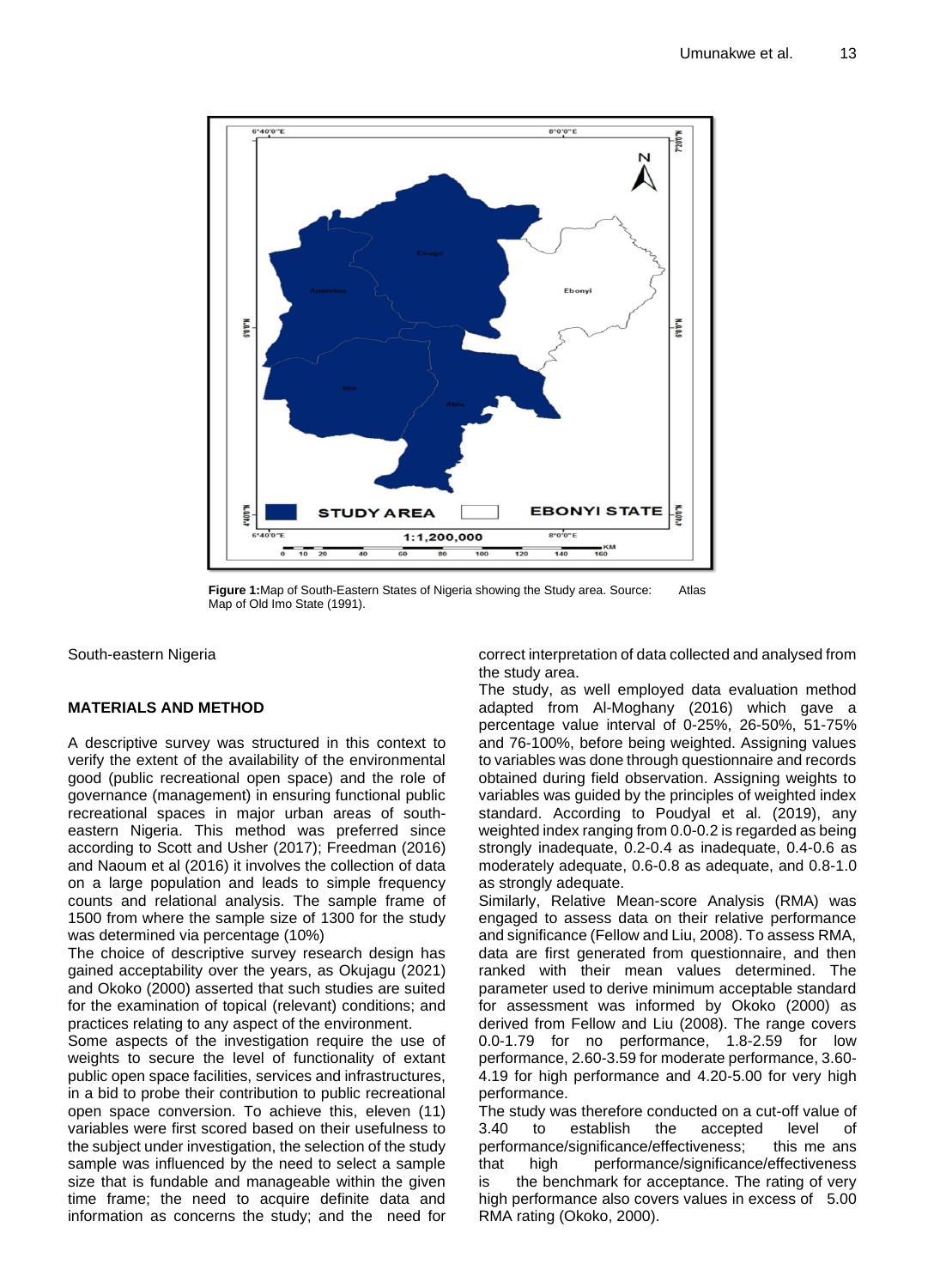

**Figure 1:**Map of South-Eastern States of Nigeria showing the Study area. Source: Atlas Map of Old Imo State (1991).

South-eastern Nigeria

## **MATERIALS AND METHOD**

A descriptive survey was structured in this context to verify the extent of the availability of the environmental good (public recreational open space) and the role of governance (management) in ensuring functional public recreational spaces in major urban areas of southeastern Nigeria. This method was preferred since according to Scott and Usher (2017); Freedman (2016) and Naoum et al (2016) it involves the collection of data on a large population and leads to simple frequency counts and relational analysis. The sample frame of 1500 from where the sample size of 1300 for the study was determined via percentage (10%)

The choice of descriptive survey research design has gained acceptability over the years, as Okujagu (2021) and Okoko (2000) asserted that such studies are suited for the examination of topical (relevant) conditions; and practices relating to any aspect of the environment.

Some aspects of the investigation require the use of weights to secure the level of functionality of extant public open space facilities, services and infrastructures, in a bid to probe their contribution to public recreational open space conversion. To achieve this, eleven (11) variables were first scored based on their usefulness to the subject under investigation, the selection of the study sample was influenced by the need to select a sample size that is fundable and manageable within the given time frame; the need to acquire definite data and information as concerns the study; and the need for correct interpretation of data collected and analysed from the study area.

The study, as well employed data evaluation method adapted from Al-Moghany (2016) which gave a percentage value interval of 0-25%, 26-50%, 51-75% and 76-100%, before being weighted. Assigning values to variables was done through questionnaire and records obtained during field observation. Assigning weights to variables was guided by the principles of weighted index standard. According to Poudyal et al. (2019), any weighted index ranging from 0.0-0.2 is regarded as being strongly inadequate, 0.2-0.4 as inadequate, 0.4-0.6 as moderately adequate, 0.6-0.8 as adequate, and 0.8-1.0 as strongly adequate.

Similarly, Relative Mean-score Analysis (RMA) was engaged to assess data on their relative performance and significance (Fellow and Liu, 2008). To assess RMA, data are first generated from questionnaire, and then ranked with their mean values determined. The parameter used to derive minimum acceptable standard for assessment was informed by Okoko (2000) as derived from Fellow and Liu (2008). The range covers 0.0-1.79 for no performance, 1.8-2.59 for low performance, 2.60-3.59 for moderate performance, 3.60- 4.19 for high performance and 4.20-5.00 for very high performance.

The study was therefore conducted on a cut-off value of 3.40 to establish the accepted level of performance/significance/effectiveness; this me ans that high performance/significance/effectiveness is the benchmark for acceptance. The rating of very high performance also covers values in excess of 5.00 RMA rating (Okoko, 2000).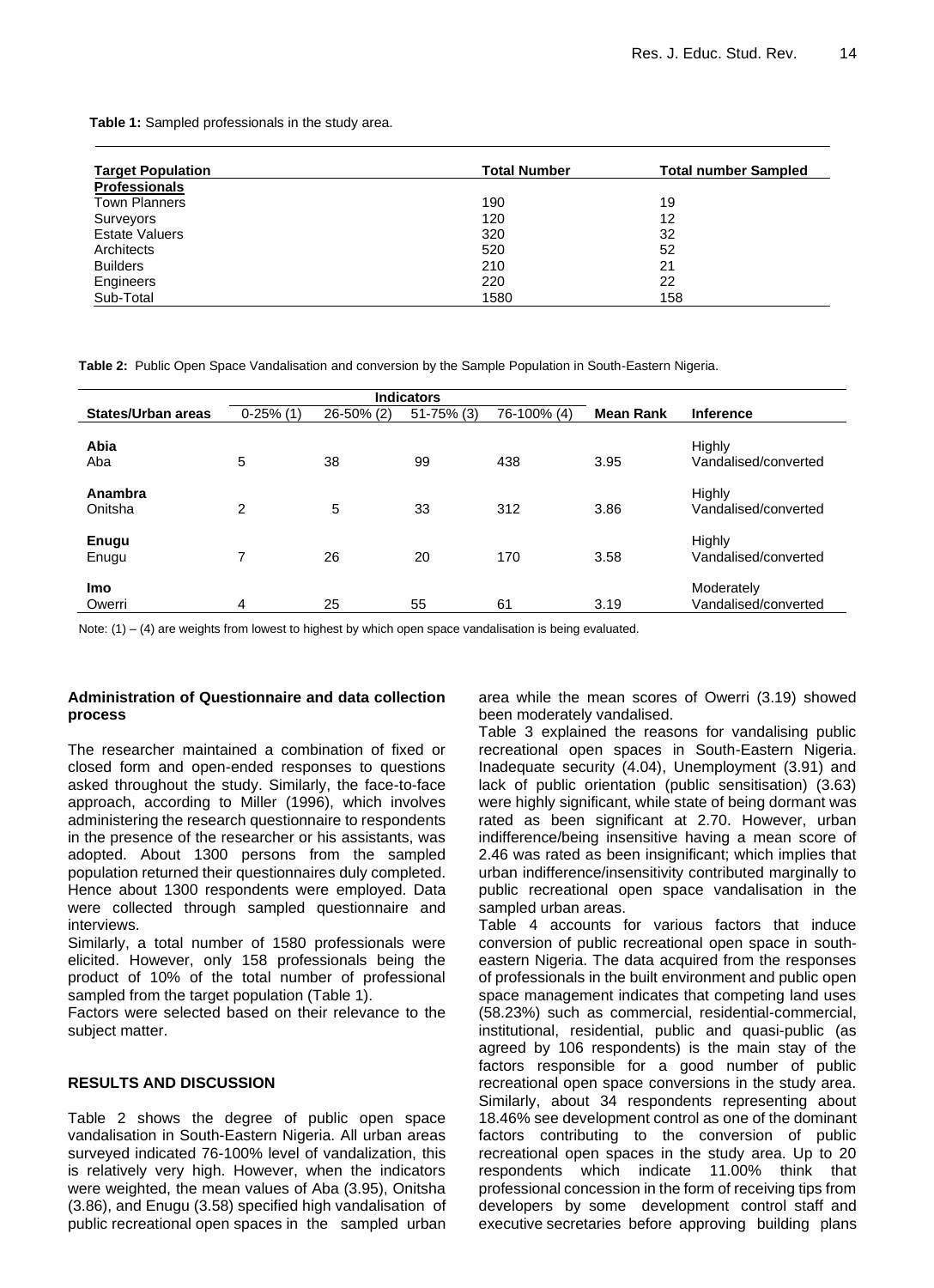**Table 1:** Sampled professionals in the study area.

| <b>Target Population</b> | <b>Total Number</b> | <b>Total number Sampled</b> |
|--------------------------|---------------------|-----------------------------|
| <b>Professionals</b>     |                     |                             |
| <b>Town Planners</b>     | 190                 | 19                          |
| Surveyors                | 120                 | 12                          |
| <b>Estate Valuers</b>    | 320                 | 32                          |
| Architects               | 520                 | 52                          |
| <b>Builders</b>          | 210                 | 21                          |
| Engineers                | 220                 | 22                          |
| Sub-Total                | 1580                | 158                         |

**Table 2:** Public Open Space Vandalisation and conversion by the Sample Population in South-Eastern Nigeria.

|                       |                |            | <b>Indicators</b> |             |                  |                                       |
|-----------------------|----------------|------------|-------------------|-------------|------------------|---------------------------------------|
| States/Urban areas    | $0-25%(1)$     | 26-50% (2) | $51 - 75\%$ (3)   | 76-100% (4) | <b>Mean Rank</b> | <b>Inference</b>                      |
| Abia<br>Aba           | 5              | 38         | 99                | 438         | 3.95             | <b>Highly</b><br>Vandalised/converted |
| Anambra<br>Onitsha    | $\overline{2}$ | 5          | 33                | 312         | 3.86             | Highly<br>Vandalised/converted        |
| <b>Enugu</b><br>Enugu | 7              | 26         | 20                | 170         | 3.58             | Highly<br>Vandalised/converted        |
| <b>Imo</b><br>Owerri  | 4              | 25         | 55                | 61          | 3.19             | Moderately<br>Vandalised/converted    |

Note:  $(1) - (4)$  are weights from lowest to highest by which open space vandalisation is being evaluated.

#### **Administration of Questionnaire and data collection process**

The researcher maintained a combination of fixed or closed form and open-ended responses to questions asked throughout the study. Similarly, the face-to-face approach, according to Miller (1996), which involves administering the research questionnaire to respondents in the presence of the researcher or his assistants, was adopted. About 1300 persons from the sampled population returned their questionnaires duly completed. Hence about 1300 respondents were employed. Data were collected through sampled questionnaire and interviews.

Similarly, a total number of 1580 professionals were elicited. However, only 158 professionals being the product of 10% of the total number of professional sampled from the target population (Table 1).

Factors were selected based on their relevance to the subject matter.

#### **RESULTS AND DISCUSSION**

Table 2 shows the degree of public open space vandalisation in South-Eastern Nigeria. All urban areas surveyed indicated 76-100% level of vandalization, this is relatively very high. However, when the indicators were weighted, the mean values of Aba (3.95), Onitsha (3.86), and Enugu (3.58) specified high vandalisation of public recreational open spaces in the sampled urban area while the mean scores of Owerri (3.19) showed been moderately vandalised.

Table 3 explained the reasons for vandalising public recreational open spaces in South-Eastern Nigeria. Inadequate security (4.04), Unemployment (3.91) and lack of public orientation (public sensitisation) (3.63) were highly significant, while state of being dormant was rated as been significant at 2.70. However, urban indifference/being insensitive having a mean score of 2.46 was rated as been insignificant; which implies that urban indifference/insensitivity contributed marginally to public recreational open space vandalisation in the sampled urban areas.

Table 4 accounts for various factors that induce conversion of public recreational open space in southeastern Nigeria. The data acquired from the responses of professionals in the built environment and public open space management indicates that competing land uses (58.23%) such as commercial, residential-commercial, institutional, residential, public and quasi-public (as agreed by 106 respondents) is the main stay of the factors responsible for a good number of public recreational open space conversions in the study area. Similarly, about 34 respondents representing about 18.46% see development control as one of the dominant factors contributing to the conversion of public recreational open spaces in the study area. Up to 20 respondents which indicate 11.00% think that professional concession in the form of receiving tips from developers by some development control staff and executive secretaries before approving building plans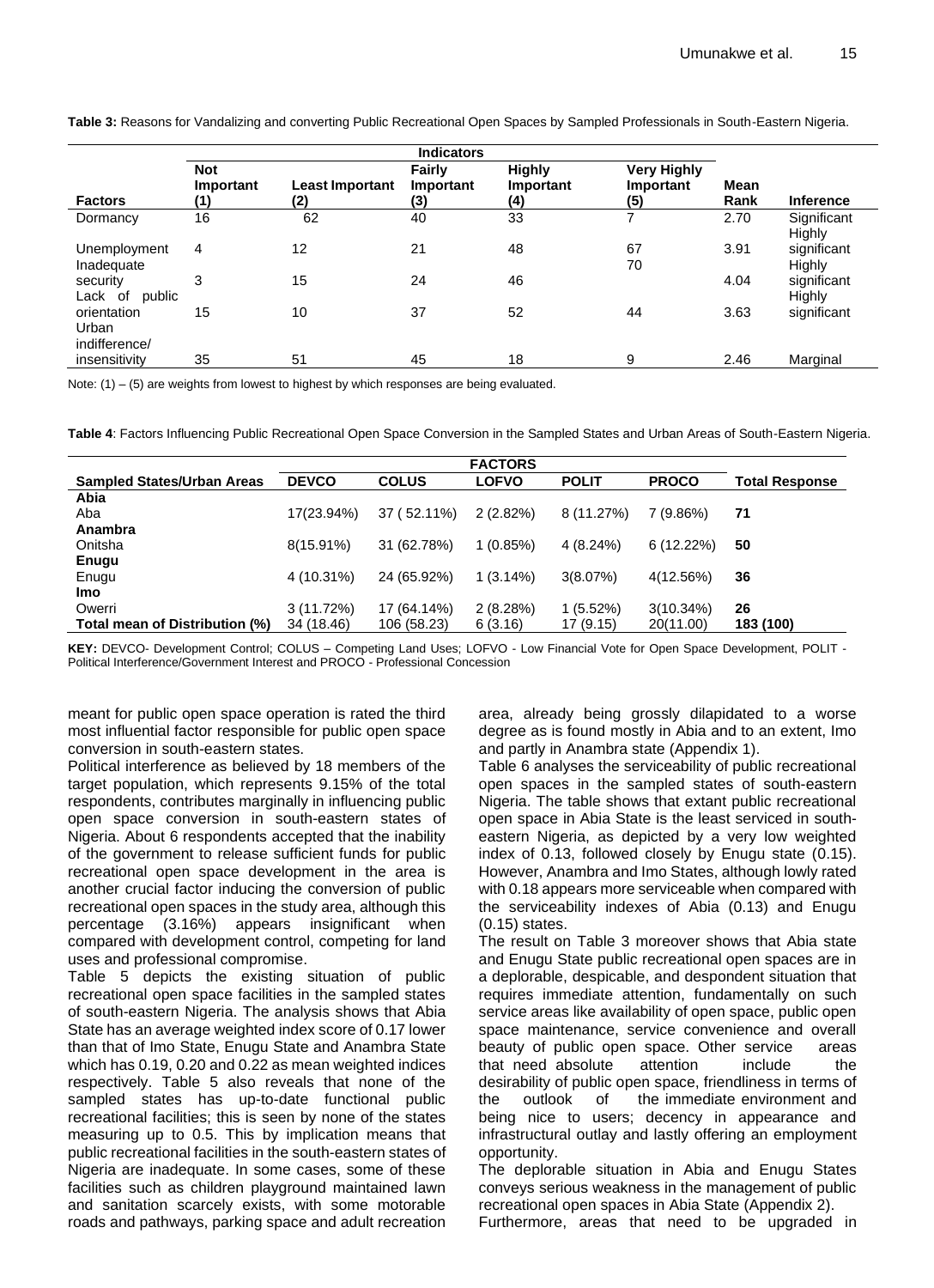**Table 3:** Reasons for Vandalizing and converting Public Recreational Open Spaces by Sampled Professionals in South-Eastern Nigeria.

|                                       | <b>Indicators</b>              |                               |                                   |                                   |                                        |              |                       |  |  |  |  |  |  |  |
|---------------------------------------|--------------------------------|-------------------------------|-----------------------------------|-----------------------------------|----------------------------------------|--------------|-----------------------|--|--|--|--|--|--|--|
| <b>Factors</b>                        | <b>Not</b><br>Important<br>(1) | <b>Least Important</b><br>(2) | <b>Fairly</b><br>Important<br>(3) | <b>Highly</b><br>Important<br>(4) | <b>Very Highly</b><br>Important<br>(5) | Mean<br>Rank | <b>Inference</b>      |  |  |  |  |  |  |  |
| Dormancy                              | 16                             | 62                            | 40                                | 33                                |                                        | 2.70         | Significant<br>Highly |  |  |  |  |  |  |  |
| Unemployment<br>Inadequate            | 4                              | 12                            | 21                                | 48                                | 67<br>70                               | 3.91         | significant<br>Highly |  |  |  |  |  |  |  |
| security<br>Lack of<br>public         | 3                              | 15                            | 24                                | 46                                |                                        | 4.04         | significant<br>Highly |  |  |  |  |  |  |  |
| orientation<br>Urban<br>indifference/ | 15                             | 10                            | 37                                | 52                                | 44                                     | 3.63         | significant           |  |  |  |  |  |  |  |
| insensitivity                         | 35                             | 51                            | 45                                | 18                                | 9                                      | 2.46         | Marginal              |  |  |  |  |  |  |  |

Note:  $(1) - (5)$  are weights from lowest to highest by which responses are being evaluated.

**Table 4**: Factors Influencing Public Recreational Open Space Conversion in the Sampled States and Urban Areas of South-Eastern Nigeria.

| <b>Sampled States/Urban Areas</b> | <b>DEVCO</b> | <b>COLUS</b> | <b>LOFVO</b> | <b>POLIT</b> | <b>PROCO</b> | <b>Total Response</b> |
|-----------------------------------|--------------|--------------|--------------|--------------|--------------|-----------------------|
| Abia                              |              |              |              |              |              |                       |
| Aba                               | 17(23.94%)   | 37 (52.11%)  | $2(2.82\%)$  | 8 (11.27%)   | 7 (9.86%)    | 71                    |
| Anambra                           |              |              |              |              |              |                       |
| Onitsha                           | $8(15.91\%)$ | 31 (62.78%)  | 1(0.85%)     | $4(8.24\%)$  | 6(12.22%)    | 50                    |
| Enugu                             |              |              |              |              |              |                       |
| Enugu                             | 4 (10.31%)   | 24 (65.92%)  | $1(3.14\%)$  | 3(8.07%)     | 4(12.56%)    | 36                    |
| <b>Imo</b>                        |              |              |              |              |              |                       |
| Owerri                            | 3(11.72%)    | 17 (64.14%)  | 2(8.28%)     | $1(5.52\%)$  | $3(10.34\%)$ | 26                    |
| Total mean of Distribution (%)    | 34 (18.46)   | 106 (58.23)  | 6(3.16)      | 17 (9.15)    | 20(11.00)    | 183 (100)             |

**KEY:** DEVCO- Development Control; COLUS – Competing Land Uses; LOFVO - Low Financial Vote for Open Space Development, POLIT - Political Interference/Government Interest and PROCO - Professional Concession

meant for public open space operation is rated the third most influential factor responsible for public open space conversion in south-eastern states.

Political interference as believed by 18 members of the target population, which represents 9.15% of the total respondents, contributes marginally in influencing public open space conversion in south-eastern states of Nigeria. About 6 respondents accepted that the inability of the government to release sufficient funds for public recreational open space development in the area is another crucial factor inducing the conversion of public recreational open spaces in the study area, although this percentage (3.16%) appears insignificant when compared with development control, competing for land uses and professional compromise.

Table 5 depicts the existing situation of public recreational open space facilities in the sampled states of south-eastern Nigeria. The analysis shows that Abia State has an average weighted index score of 0.17 lower than that of Imo State, Enugu State and Anambra State which has 0.19, 0.20 and 0.22 as mean weighted indices respectively. Table 5 also reveals that none of the sampled states has up-to-date functional public recreational facilities; this is seen by none of the states measuring up to 0.5. This by implication means that public recreational facilities in the south-eastern states of Nigeria are inadequate. In some cases, some of these facilities such as children playground maintained lawn and sanitation scarcely exists, with some motorable roads and pathways, parking space and adult recreation area, already being grossly dilapidated to a worse degree as is found mostly in Abia and to an extent, Imo and partly in Anambra state (Appendix 1).

Table 6 analyses the serviceability of public recreational open spaces in the sampled states of south-eastern Nigeria. The table shows that extant public recreational open space in Abia State is the least serviced in southeastern Nigeria, as depicted by a very low weighted index of 0.13, followed closely by Enugu state (0.15). However, Anambra and Imo States, although lowly rated with 0.18 appears more serviceable when compared with the serviceability indexes of Abia (0.13) and Enugu (0.15) states.

The result on Table 3 moreover shows that Abia state and Enugu State public recreational open spaces are in a deplorable, despicable, and despondent situation that requires immediate attention, fundamentally on such service areas like availability of open space, public open space maintenance, service convenience and overall beauty of public open space. Other service areas that need absolute attention include the desirability of public open space, friendliness in terms of the outlook of the immediate environment and being nice to users; decency in appearance and infrastructural outlay and lastly offering an employment opportunity.

The deplorable situation in Abia and Enugu States conveys serious weakness in the management of public recreational open spaces in Abia State (Appendix 2).

Furthermore, areas that need to be upgraded in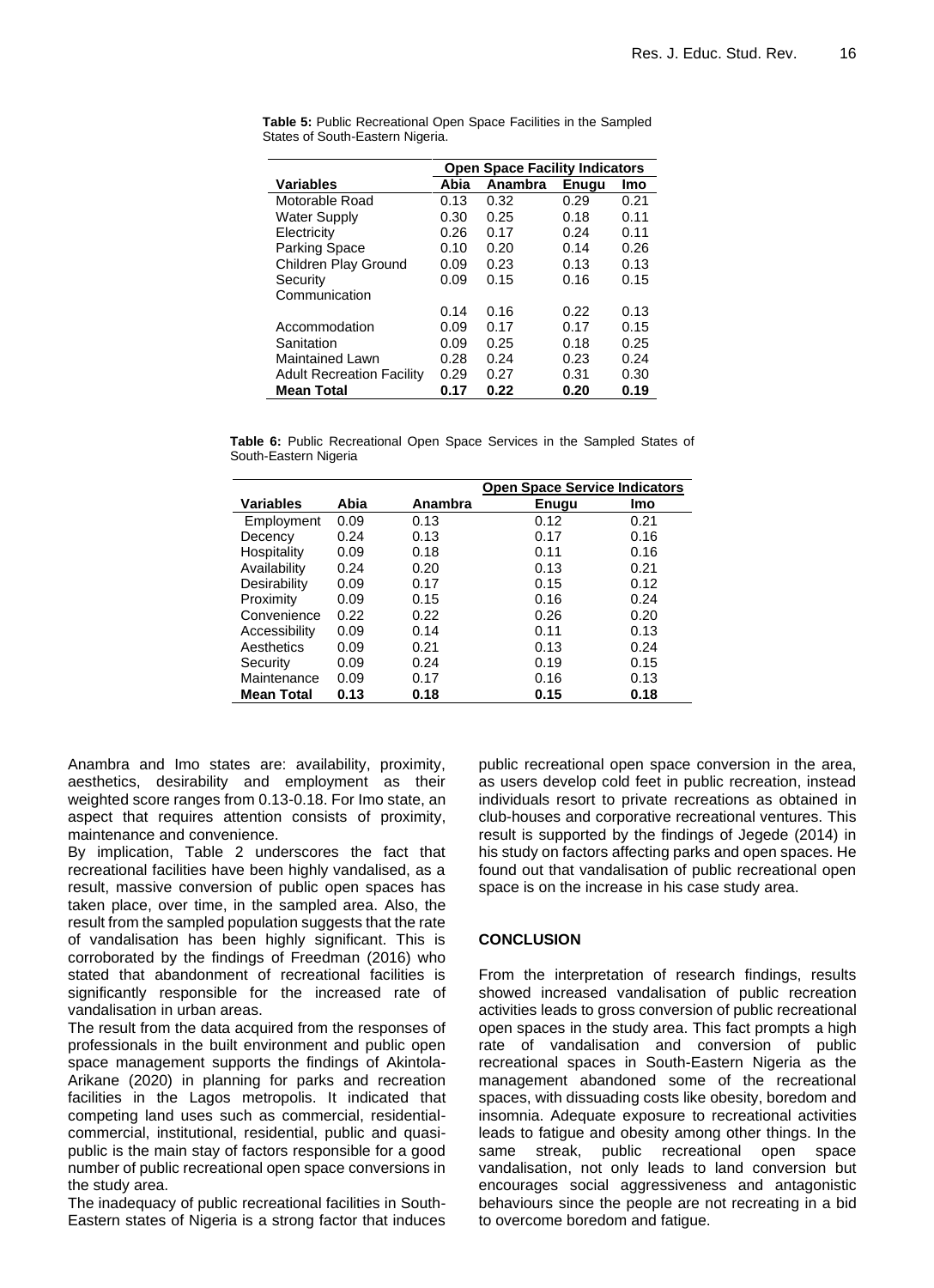|                                  | <b>Open Space Facility Indicators</b> |         |       |      |  |  |  |  |  |  |  |  |  |
|----------------------------------|---------------------------------------|---------|-------|------|--|--|--|--|--|--|--|--|--|
| <b>Variables</b>                 | Abia                                  | Anambra | Enuau | Imo  |  |  |  |  |  |  |  |  |  |
| Motorable Road                   | 0.13                                  | 0.32    | 0.29  | 0.21 |  |  |  |  |  |  |  |  |  |
| <b>Water Supply</b>              | 0.30                                  | 0.25    | 0.18  | 0.11 |  |  |  |  |  |  |  |  |  |
| Electricity                      | 0.26                                  | 0.17    | 0.24  | 0.11 |  |  |  |  |  |  |  |  |  |
| <b>Parking Space</b>             | 0.10                                  | 0.20    | 0.14  | 0.26 |  |  |  |  |  |  |  |  |  |
| Children Play Ground             | 0.09                                  | 0.23    | 0.13  | 0.13 |  |  |  |  |  |  |  |  |  |
| Security                         | 0.09                                  | 0.15    | 0.16  | 0.15 |  |  |  |  |  |  |  |  |  |
| Communication                    |                                       |         |       |      |  |  |  |  |  |  |  |  |  |
|                                  | 0.14                                  | 0.16    | 0.22  | 0.13 |  |  |  |  |  |  |  |  |  |
| Accommodation                    | 0.09                                  | 0.17    | 0.17  | 0.15 |  |  |  |  |  |  |  |  |  |
| Sanitation                       | 0.09                                  | 0.25    | 0.18  | 0.25 |  |  |  |  |  |  |  |  |  |
| Maintained Lawn                  | 0.28                                  | 0.24    | 0.23  | 0.24 |  |  |  |  |  |  |  |  |  |
| <b>Adult Recreation Facility</b> | 0.29                                  | 0.27    | 0.31  | 0.30 |  |  |  |  |  |  |  |  |  |
| <b>Mean Total</b>                | 0.17                                  | 0.22    | 0.20  | 0.19 |  |  |  |  |  |  |  |  |  |

**Table 5:** Public Recreational Open Space Facilities in the Sampled States of South-Eastern Nigeria.

**Table 6:** Public Recreational Open Space Services in the Sampled States of South-Eastern Nigeria

|                   |      |         | <b>Open Space Service Indicators</b> |      |  |  |  |  |  |  |
|-------------------|------|---------|--------------------------------------|------|--|--|--|--|--|--|
| <b>Variables</b>  | Abia | Anambra | <b>Enugu</b>                         | Imo  |  |  |  |  |  |  |
| Employment        | 0.09 | 0.13    | 0.12                                 | 0.21 |  |  |  |  |  |  |
| Decency           | 0.24 | 0.13    | 0.17                                 | 0.16 |  |  |  |  |  |  |
| Hospitality       | 0.09 | 0.18    | 0.11                                 | 0.16 |  |  |  |  |  |  |
| Availability      | 0.24 | 0.20    | 0.13                                 | 0.21 |  |  |  |  |  |  |
| Desirability      | 0.09 | 0.17    | 0.15                                 | 0.12 |  |  |  |  |  |  |
| Proximity         | 0.09 | 0.15    | 0.16                                 | 0.24 |  |  |  |  |  |  |
| Convenience       | 0.22 | 0.22    | 0.26                                 | 0.20 |  |  |  |  |  |  |
| Accessibility     | 0.09 | 0.14    | 0.11                                 | 0.13 |  |  |  |  |  |  |
| Aesthetics        | 0.09 | 0.21    | 0.13                                 | 0.24 |  |  |  |  |  |  |
| Security          | 0.09 | 0.24    | 0.19                                 | 0.15 |  |  |  |  |  |  |
| Maintenance       | 0.09 | 0.17    | 0.16                                 | 0.13 |  |  |  |  |  |  |
| <b>Mean Total</b> | 0.13 | 0.18    | 0.15                                 | 0.18 |  |  |  |  |  |  |

Anambra and Imo states are: availability, proximity, aesthetics, desirability and employment as their weighted score ranges from 0.13-0.18. For Imo state, an aspect that requires attention consists of proximity, maintenance and convenience.

By implication, Table 2 underscores the fact that recreational facilities have been highly vandalised, as a result, massive conversion of public open spaces has taken place, over time, in the sampled area. Also, the result from the sampled population suggests that the rate of vandalisation has been highly significant. This is corroborated by the findings of Freedman (2016) who stated that abandonment of recreational facilities is significantly responsible for the increased rate of vandalisation in urban areas.

The result from the data acquired from the responses of professionals in the built environment and public open space management supports the findings of Akintola-Arikane (2020) in planning for parks and recreation facilities in the Lagos metropolis. It indicated that competing land uses such as commercial, residentialcommercial, institutional, residential, public and quasipublic is the main stay of factors responsible for a good number of public recreational open space conversions in the study area.

The inadequacy of public recreational facilities in South-Eastern states of Nigeria is a strong factor that induces public recreational open space conversion in the area, as users develop cold feet in public recreation, instead individuals resort to private recreations as obtained in club-houses and corporative recreational ventures. This result is supported by the findings of Jegede (2014) in his study on factors affecting parks and open spaces. He found out that vandalisation of public recreational open space is on the increase in his case study area.

### **CONCLUSION**

From the interpretation of research findings, results showed increased vandalisation of public recreation activities leads to gross conversion of public recreational open spaces in the study area. This fact prompts a high rate of vandalisation and conversion of public recreational spaces in South-Eastern Nigeria as the management abandoned some of the recreational spaces, with dissuading costs like obesity, boredom and insomnia. Adequate exposure to recreational activities leads to fatigue and obesity among other things. In the same streak, public recreational open space vandalisation, not only leads to land conversion but encourages social aggressiveness and antagonistic behaviours since the people are not recreating in a bid to overcome boredom and fatigue.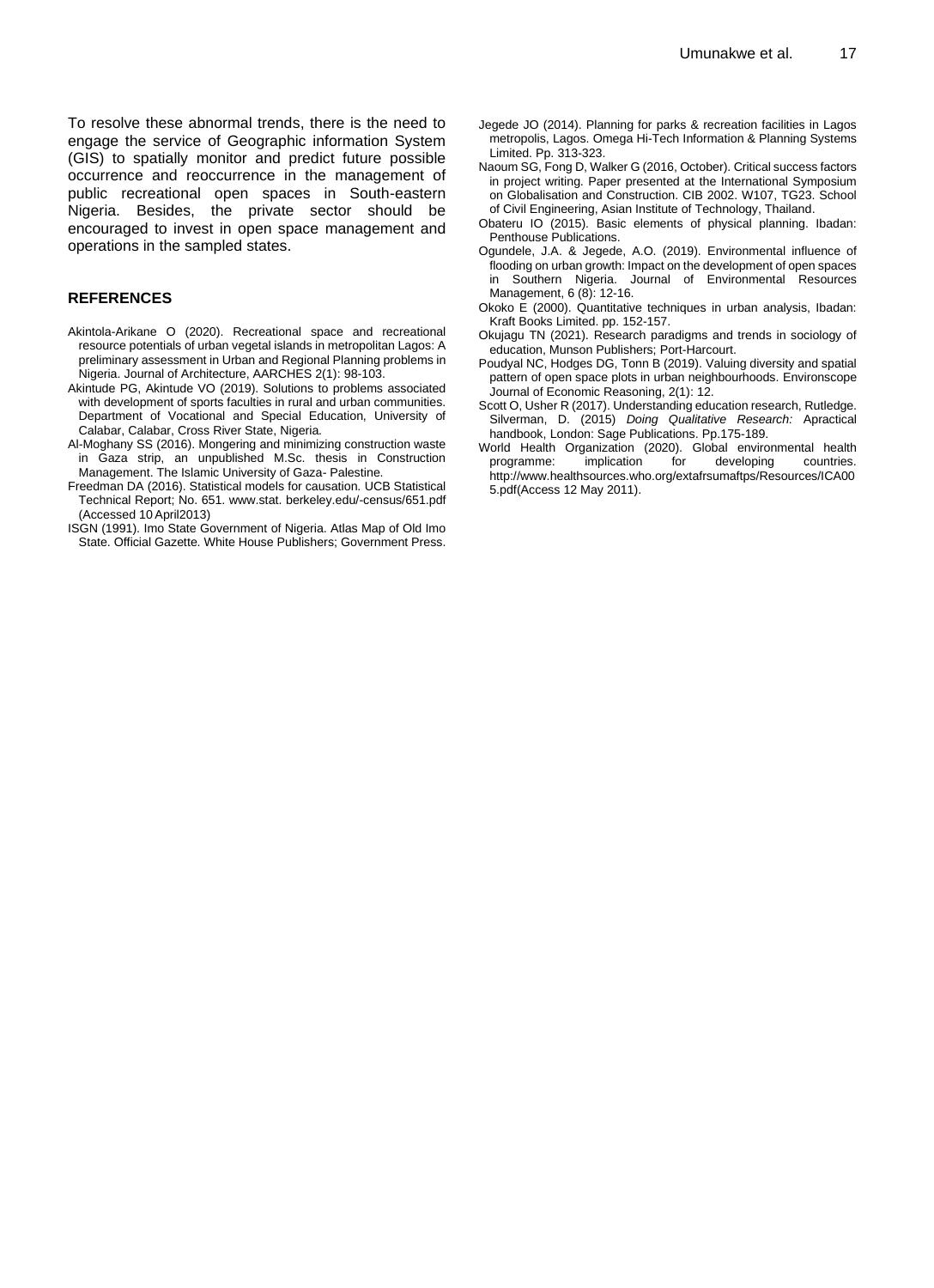#### **REFERENCES**

- Akintola-Arikane O (2020). Recreational space and recreational resource potentials of urban vegetal islands in metropolitan Lagos: A preliminary assessment in Urban and Regional Planning problems in Nigeria. Journal of Architecture, AARCHES 2(1): 98-103.
- Akintude PG, Akintude VO (2019). Solutions to problems associated with development of sports faculties in rural and urban communities. Department of Vocational and Special Education, University of Calabar, Calabar, Cross River State, Nigeria.
- Al-Moghany SS (2016). Mongering and minimizing construction waste in Gaza strip, an unpublished M.Sc. thesis in Construction Management. The Islamic University of Gaza- Palestine.
- Freedman DA (2016). Statistical models for causation. UCB Statistical Technical Report; No. 651. www.stat. berkeley.edu/-census/651.pdf (Accessed 10 April2013)
- ISGN (1991). Imo State Government of Nigeria. Atlas Map of Old Imo State. Official Gazette. White House Publishers; Government Press.
- Jegede JO (2014). Planning for parks & recreation facilities in Lagos metropolis, Lagos. Omega Hi-Tech Information & Planning Systems Limited. Pp. 313-323.
- Naoum SG, Fong D, Walker G (2016, October). Critical success factors in project writing. Paper presented at the International Symposium on Globalisation and Construction. CIB 2002. W107, TG23. School of Civil Engineering, Asian Institute of Technology, Thailand.
- Obateru IO (2015). Basic elements of physical planning. Ibadan: Penthouse Publications.
- Ogundele, J.A. & Jegede, A.O. (2019). Environmental influence of flooding on urban growth: Impact on the development of open spaces in Southern Nigeria. Journal of Environmental Resources Management, 6 (8): 12-16.
- Okoko E (2000). Quantitative techniques in urban analysis, Ibadan: Kraft Books Limited. pp. 152-157.
- Okujagu TN (2021). Research paradigms and trends in sociology of education, Munson Publishers; Port-Harcourt.
- Poudyal NC, Hodges DG, Tonn B (2019). Valuing diversity and spatial pattern of open space plots in urban neighbourhoods. Environscope Journal of Economic Reasoning, 2(1): 12.
- Scott O, Usher R (2017). Understanding education research, Rutledge. Silverman, D. (2015) *Doing Qualitative Research:* Apractical handbook, London: Sage Publications. Pp.175-189.
- World Health Organization (2020). Global environmental health programme: implication for developing countries. http://www.healthsources.who.org/extafrsumaftps/Resources/ICA00 5.pdf(Access 12 May 2011).